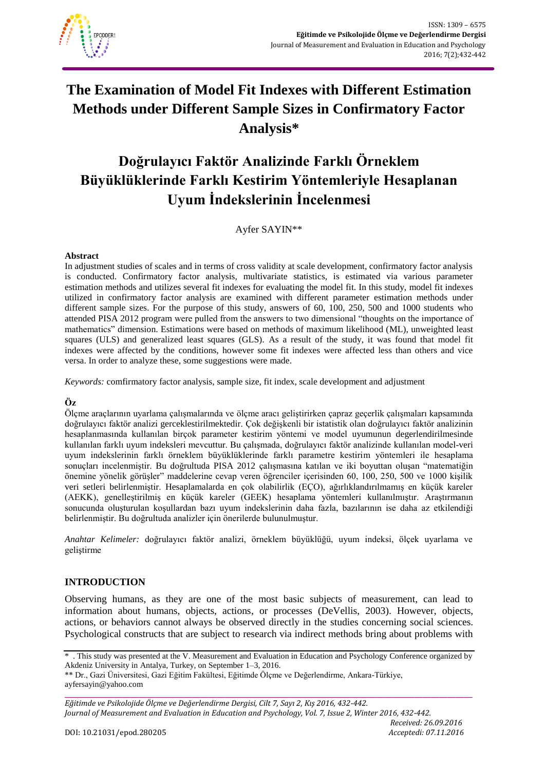

# **The Examination of Model Fit Indexes with Different Estimation Methods under Different Sample Sizes in Confirmatory Factor Analysis\***

# **Doğrulayıcı Faktör Analizinde Farklı Örneklem Büyüklüklerinde Farklı Kestirim Yöntemleriyle Hesaplanan Uyum İndekslerinin İncelenmesi**

Ayfer SAYIN\*\*

#### **Abstract**

In adjustment studies of scales and in terms of cross validity at scale development, confirmatory factor analysis is conducted. Confirmatory factor analysis, multivariate statistics, is estimated via various parameter estimation methods and utilizes several fit indexes for evaluating the model fit. In this study, model fit indexes utilized in confirmatory factor analysis are examined with different parameter estimation methods under different sample sizes. For the purpose of this study, answers of 60, 100, 250, 500 and 1000 students who attended PISA 2012 program were pulled from the answers to two dimensional "thoughts on the importance of mathematics" dimension. Estimations were based on methods of maximum likelihood (ML), unweighted least squares (ULS) and generalized least squares (GLS). As a result of the study, it was found that model fit indexes were affected by the conditions, however some fit indexes were affected less than others and vice versa. In order to analyze these, some suggestions were made.

*Keywords:* comfirmatory factor analysis, sample size, fit index, scale development and adjustment

#### **Öz**

Ölçme araçlarının uyarlama çalışmalarında ve ölçme aracı geliştirirken çapraz geçerlik çalışmaları kapsamında doğrulayıcı faktör analizi gerceklestirilmektedir. Çok değişkenli bir istatistik olan doğrulayıcı faktör analizinin hesaplanmasında kullanılan birçok parameter kestirim yöntemi ve model uyumunun degerlendirilmesinde kullanılan farklı uyum indeksleri mevcuttur. Bu çalışmada, doğrulayıcı faktör analizinde kullanılan model-veri uyum indekslerinin farklı örneklem büyüklüklerinde farklı parametre kestirim yöntemleri ile hesaplama sonuçları incelenmiştir. Bu doğrultuda PISA 2012 çalışmasına katılan ve iki boyuttan oluşan "matematiğin önemine yönelik görüşler" maddelerine cevap veren öğrenciler içerisinden 60, 100, 250, 500 ve 1000 kişilik veri setleri belirlenmiştir. Hesaplamalarda en çok olabilirlik (EÇO), ağırlıklandırılmamış en küçük kareler (AEKK), genelleştirilmiş en küçük kareler (GEEK) hesaplama yöntemleri kullanılmıştır. Araştırmanın sonucunda oluşturulan koşullardan bazı uyum indekslerinin daha fazla, bazılarının ise daha az etkilendiği belirlenmiştir. Bu doğrultuda analizler için önerilerde bulunulmuştur.

*Anahtar Kelimeler:* doğrulayıcı faktör analizi, örneklem büyüklüğü, uyum indeksi, ölçek uyarlama ve geliştirme

#### **INTRODUCTION**

Observing humans, as they are one of the most basic subjects of measurement, can lead to information about humans, objects, actions, or processes (DeVellis, 2003). However, objects, actions, or behaviors cannot always be observed directly in the studies concerning social sciences. Psychological constructs that are subject to research via indirect methods bring about problems with

\*\* Dr., Gazi Üniversitesi, Gazi Eğitim Fakültesi, Eğitimde Ölçme ve Değerlendirme, Ankara-Türkiye, ayfersayin@yahoo.com

**\_\_\_\_\_\_\_\_\_\_\_\_\_\_\_\_\_\_\_\_\_\_\_\_\_\_\_\_\_\_\_\_\_\_\_\_\_\_\_\_\_\_\_\_\_\_\_\_\_\_\_\_\_\_\_\_\_\_\_\_\_\_\_\_\_\_\_\_\_\_\_\_\_\_\_\_\_\_\_\_\_\_\_\_\_\_\_\_\_\_\_\_\_\_\_\_\_\_\_** *Eğitimde ve Psikolojide Ölçme ve Değerlendirme Dergisi, Cilt 7, Sayı 2, Kış 2016, 432-442. Journal of Measurement and Evaluation in Education and Psychology, Vol. 7, Issue 2, Winter 2016, 432-442.*

<sup>\* .</sup> This study was presented at the V. Measurement and Evaluation in Education and Psychology Conference organized by Akdeniz University in Antalya, Turkey, on September 1–3, 2016.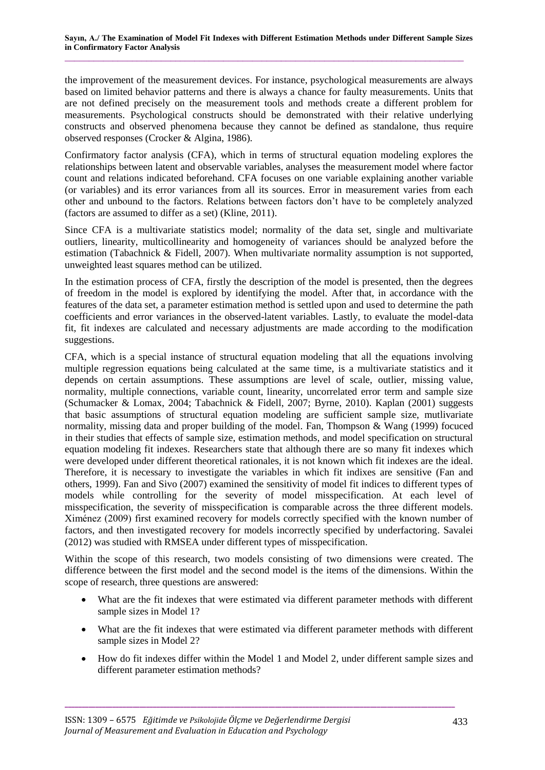the improvement of the measurement devices. For instance, psychological measurements are always based on limited behavior patterns and there is always a chance for faulty measurements. Units that are not defined precisely on the measurement tools and methods create a different problem for measurements. Psychological constructs should be demonstrated with their relative underlying constructs and observed phenomena because they cannot be defined as standalone, thus require observed responses (Crocker & Algina, 1986).

Confirmatory factor analysis (CFA), which in terms of structural equation modeling explores the relationships between latent and observable variables, analyses the measurement model where factor count and relations indicated beforehand. CFA focuses on one variable explaining another variable (or variables) and its error variances from all its sources. Error in measurement varies from each other and unbound to the factors. Relations between factors don't have to be completely analyzed (factors are assumed to differ as a set) (Kline, 2011).

Since CFA is a multivariate statistics model; normality of the data set, single and multivariate outliers, linearity, multicollinearity and homogeneity of variances should be analyzed before the estimation (Tabachnick & Fidell, 2007). When multivariate normality assumption is not supported, unweighted least squares method can be utilized.

In the estimation process of CFA, firstly the description of the model is presented, then the degrees of freedom in the model is explored by identifying the model. After that, in accordance with the features of the data set, a parameter estimation method is settled upon and used to determine the path coefficients and error variances in the observed-latent variables. Lastly, to evaluate the model-data fit, fit indexes are calculated and necessary adjustments are made according to the modification suggestions.

CFA, which is a special instance of structural equation modeling that all the equations involving multiple regression equations being calculated at the same time, is a multivariate statistics and it depends on certain assumptions. These assumptions are level of scale, outlier, missing value, normality, multiple connections, variable count, linearity, uncorrelated error term and sample size (Schumacker & Lomax, 2004; Tabachnick & Fidell, 2007; Byrne, 2010). Kaplan (2001) suggests that basic assumptions of structural equation modeling are sufficient sample size, mutlivariate normality, missing data and proper building of the model. Fan, Thompson & Wang (1999) focuced in their studies that effects of sample size, estimation methods, and model specification on structural equation modeling fit indexes. Researchers state that although there are so many fit indexes which were developed under different theoretical rationales, it is not known which fit indexes are the ideal. Therefore, it is necessary to investigate the variables in which fit indixes are sensitive (Fan and others, 1999). Fan and Sivo (2007) examined the sensitivity of model fit indices to different types of models while controlling for the severity of model misspecification. At each level of misspecification, the severity of misspecification is comparable across the three different models. Ximénez (2009) first examined recovery for models correctly specified with the known number of factors, and then investigated recovery for models incorrectly specified by underfactoring. Savalei (2012) was studied with RMSEA under different types of misspecification.

Within the scope of this research, two models consisting of two dimensions were created. The difference between the first model and the second model is the items of the dimensions. Within the scope of research, three questions are answered:

- What are the fit indexes that were estimated via different parameter methods with different sample sizes in Model 1?
- What are the fit indexes that were estimated via different parameter methods with different sample sizes in Model 2?
- How do fit indexes differ within the Model 1 and Model 2, under different sample sizes and different parameter estimation methods?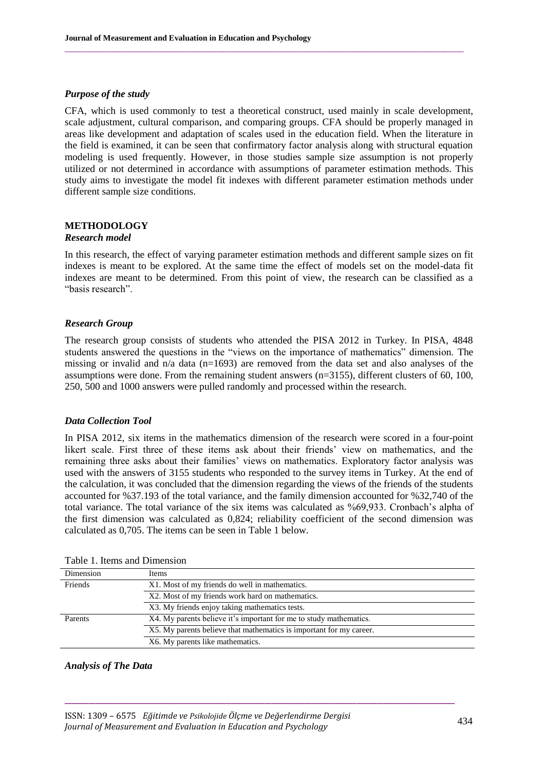#### *Purpose of the study*

CFA, which is used commonly to test a theoretical construct, used mainly in scale development, scale adjustment, cultural comparison, and comparing groups. CFA should be properly managed in areas like development and adaptation of scales used in the education field. When the literature in the field is examined, it can be seen that confirmatory factor analysis along with structural equation modeling is used frequently. However, in those studies sample size assumption is not properly utilized or not determined in accordance with assumptions of parameter estimation methods. This study aims to investigate the model fit indexes with different parameter estimation methods under different sample size conditions.

 $\_$  ,  $\_$  ,  $\_$  ,  $\_$  ,  $\_$  ,  $\_$  ,  $\_$  ,  $\_$  ,  $\_$  ,  $\_$  ,  $\_$  ,  $\_$  ,  $\_$  ,  $\_$  ,  $\_$  ,  $\_$  ,  $\_$  ,  $\_$  ,  $\_$  ,  $\_$  ,  $\_$  ,  $\_$  ,  $\_$  ,  $\_$  ,  $\_$  ,  $\_$  ,  $\_$  ,  $\_$  ,  $\_$  ,  $\_$  ,  $\_$  ,  $\_$  ,  $\_$  ,  $\_$  ,  $\_$  ,  $\_$  ,  $\_$  ,

## **METHODOLOGY**

#### *Research model*

In this research, the effect of varying parameter estimation methods and different sample sizes on fit indexes is meant to be explored. At the same time the effect of models set on the model-data fit indexes are meant to be determined. From this point of view, the research can be classified as a "basis research".

#### *Research Group*

The research group consists of students who attended the PISA 2012 in Turkey. In PISA, 4848 students answered the questions in the "views on the importance of mathematics" dimension. The missing or invalid and  $n/a$  data (n=1693) are removed from the data set and also analyses of the assumptions were done. From the remaining student answers (n=3155), different clusters of 60, 100, 250, 500 and 1000 answers were pulled randomly and processed within the research.

#### *Data Collection Tool*

In PISA 2012, six items in the mathematics dimension of the research were scored in a four-point likert scale. First three of these items ask about their friends' view on mathematics, and the remaining three asks about their families' views on mathematics. Exploratory factor analysis was used with the answers of 3155 students who responded to the survey items in Turkey. At the end of the calculation, it was concluded that the dimension regarding the views of the friends of the students accounted for %37.193 of the total variance, and the family dimension accounted for %32,740 of the total variance. The total variance of the six items was calculated as %69,933. Cronbach's alpha of the first dimension was calculated as 0,824; reliability coefficient of the second dimension was calculated as 0,705. The items can be seen in Table 1 below.

| Dimension | Items                                                               |  |  |
|-----------|---------------------------------------------------------------------|--|--|
| Friends   | X1. Most of my friends do well in mathematics.                      |  |  |
|           | X2. Most of my friends work hard on mathematics.                    |  |  |
|           | X3. My friends enjoy taking mathematics tests.                      |  |  |
| Parents   | X4. My parents believe it's important for me to study mathematics.  |  |  |
|           | X5. My parents believe that mathematics is important for my career. |  |  |
|           | X6. My parents like mathematics.                                    |  |  |

**\_\_\_\_\_\_\_\_\_\_\_\_\_\_\_\_\_\_\_\_\_\_\_\_\_\_\_\_\_\_\_\_\_\_\_\_\_\_\_\_\_\_\_\_\_\_\_\_\_\_\_\_\_\_\_\_\_\_\_\_\_\_\_\_\_\_\_\_\_\_\_\_\_\_\_\_\_\_\_\_\_\_\_\_\_\_\_\_\_\_\_\_\_\_\_\_\_\_\_\_\_\_\_\_\_\_\_\_\_\_\_\_\_\_\_**

Table 1. Items and Dimension

# *Analysis of The Data*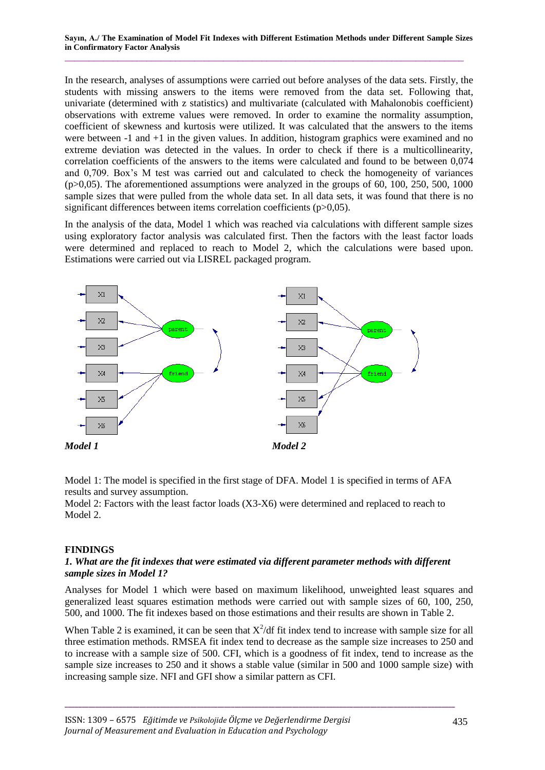In the research, analyses of assumptions were carried out before analyses of the data sets. Firstly, the students with missing answers to the items were removed from the data set. Following that, univariate (determined with z statistics) and multivariate (calculated with Mahalonobis coefficient) observations with extreme values were removed. In order to examine the normality assumption, coefficient of skewness and kurtosis were utilized. It was calculated that the answers to the items were between  $-1$  and  $+1$  in the given values. In addition, histogram graphics were examined and no extreme deviation was detected in the values. In order to check if there is a multicollinearity, correlation coefficients of the answers to the items were calculated and found to be between 0,074 and 0,709. Box's M test was carried out and calculated to check the homogeneity of variances  $(p>0.05)$ . The aforementioned assumptions were analyzed in the groups of 60, 100, 250, 500, 1000 sample sizes that were pulled from the whole data set. In all data sets, it was found that there is no significant differences between items correlation coefficients (p>0,05).

In the analysis of the data, Model 1 which was reached via calculations with different sample sizes using exploratory factor analysis was calculated first. Then the factors with the least factor loads were determined and replaced to reach to Model 2, which the calculations were based upon. Estimations were carried out via LISREL packaged program.



Model 1: The model is specified in the first stage of DFA. Model 1 is specified in terms of AFA results and survey assumption.

Model 2: Factors with the least factor loads (X3-X6) were determined and replaced to reach to Model 2.

#### **FINDINGS**

## *1. What are the fit indexes that were estimated via different parameter methods with different sample sizes in Model 1?*

Analyses for Model 1 which were based on maximum likelihood, unweighted least squares and generalized least squares estimation methods were carried out with sample sizes of 60, 100, 250, 500, and 1000. The fit indexes based on those estimations and their results are shown in Table 2.

When Table 2 is examined, it can be seen that  $X^2/df$  fit index tend to increase with sample size for all three estimation methods. RMSEA fit index tend to decrease as the sample size increases to 250 and to increase with a sample size of 500. CFI, which is a goodness of fit index, tend to increase as the sample size increases to 250 and it shows a stable value (similar in 500 and 1000 sample size) with increasing sample size. NFI and GFI show a similar pattern as CFI.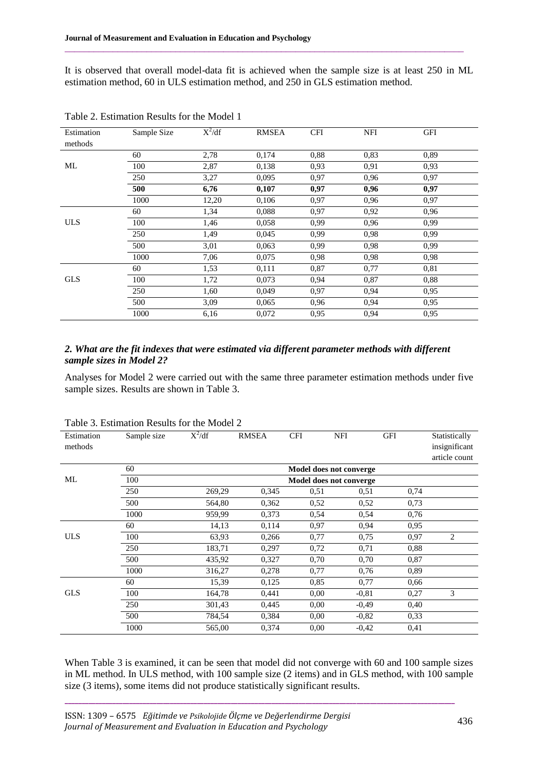It is observed that overall model-data fit is achieved when the sample size is at least 250 in ML estimation method, 60 in ULS estimation method, and 250 in GLS estimation method.

 $\_$  ,  $\_$  ,  $\_$  ,  $\_$  ,  $\_$  ,  $\_$  ,  $\_$  ,  $\_$  ,  $\_$  ,  $\_$  ,  $\_$  ,  $\_$  ,  $\_$  ,  $\_$  ,  $\_$  ,  $\_$  ,  $\_$  ,  $\_$  ,  $\_$  ,  $\_$  ,  $\_$  ,  $\_$  ,  $\_$  ,  $\_$  ,  $\_$  ,  $\_$  ,  $\_$  ,  $\_$  ,  $\_$  ,  $\_$  ,  $\_$  ,  $\_$  ,  $\_$  ,  $\_$  ,  $\_$  ,  $\_$  ,  $\_$  ,

| Estimation<br>methods | Sample Size | $X^2/df$ | <b>RMSEA</b> | <b>CFI</b> | NFI  | <b>GFI</b> |  |
|-----------------------|-------------|----------|--------------|------------|------|------------|--|
|                       | 60          | 2,78     | 0,174        | 0,88       | 0,83 | 0,89       |  |
| ML                    | 100         | 2,87     | 0,138        | 0.93       | 0,91 | 0,93       |  |
|                       | 250         | 3,27     | 0,095        | 0,97       | 0.96 | 0,97       |  |
|                       | 500         | 6,76     | 0,107        | 0,97       | 0,96 | 0,97       |  |
|                       | 1000        | 12,20    | 0,106        | 0,97       | 0,96 | 0,97       |  |
|                       | 60          | 1,34     | 0,088        | 0,97       | 0,92 | 0.96       |  |
| <b>ULS</b>            | 100         | 1,46     | 0,058        | 0,99       | 0.96 | 0,99       |  |
|                       | 250         | 1,49     | 0,045        | 0.99       | 0,98 | 0,99       |  |
|                       | 500         | 3,01     | 0,063        | 0.99       | 0.98 | 0,99       |  |
|                       | 1000        | 7,06     | 0,075        | 0.98       | 0,98 | 0,98       |  |
|                       | 60          | 1,53     | 0.111        | 0,87       | 0,77 | 0,81       |  |
| <b>GLS</b>            | 100         | 1,72     | 0,073        | 0.94       | 0,87 | 0,88       |  |
|                       | 250         | 1,60     | 0,049        | 0.97       | 0,94 | 0,95       |  |
|                       | 500         | 3,09     | 0,065        | 0.96       | 0,94 | 0,95       |  |
|                       | 1000        | 6,16     | 0,072        | 0.95       | 0.94 | 0,95       |  |

Table 2. Estimation Results for the Model 1

# *2. What are the fit indexes that were estimated via different parameter methods with different sample sizes in Model 2?*

Analyses for Model 2 were carried out with the same three parameter estimation methods under five sample sizes. Results are shown in Table 3.

| Estimation | Sample size | $X^2/df$                | <b>RMSEA</b> | <b>CFI</b> | <b>NFI</b> | <b>GFI</b> | Statistically |  |  |  |  |
|------------|-------------|-------------------------|--------------|------------|------------|------------|---------------|--|--|--|--|
| methods    |             |                         |              |            |            |            | insignificant |  |  |  |  |
|            |             |                         |              |            |            |            | article count |  |  |  |  |
|            | 60          | Model does not converge |              |            |            |            |               |  |  |  |  |
| ML         | 100         | Model does not converge |              |            |            |            |               |  |  |  |  |
|            | 250         | 269,29                  | 0,345        | 0.51       | 0,51       | 0,74       |               |  |  |  |  |
|            | 500         | 564,80                  | 0,362        | 0,52       | 0,52       | 0,73       |               |  |  |  |  |
|            | 1000        | 959,99                  | 0,373        | 0,54       | 0,54       | 0,76       |               |  |  |  |  |
|            | 60          | 14,13                   | 0.114        | 0,97       | 0,94       | 0,95       |               |  |  |  |  |
| <b>ULS</b> | 100         | 63,93                   | 0,266        | 0,77       | 0,75       | 0,97       | 2             |  |  |  |  |
|            | 250         | 183,71                  | 0,297        | 0,72       | 0,71       | 0,88       |               |  |  |  |  |
|            | 500         | 435,92                  | 0,327        | 0,70       | 0,70       | 0,87       |               |  |  |  |  |
|            | 1000        | 316,27                  | 0,278        | 0,77       | 0,76       | 0,89       |               |  |  |  |  |
|            | 60          | 15,39                   | 0,125        | 0,85       | 0,77       | 0.66       |               |  |  |  |  |
| <b>GLS</b> | 100         | 164,78                  | 0,441        | 0.00       | $-0,81$    | 0,27       | 3             |  |  |  |  |
|            | 250         | 301,43                  | 0,445        | 0.00       | $-0,49$    | 0,40       |               |  |  |  |  |
|            | 500         | 784,54                  | 0.384        | 0.00       | $-0,82$    | 0,33       |               |  |  |  |  |
|            | 1000        | 565,00                  | 0,374        | 0.00       | $-0,42$    | 0,41       |               |  |  |  |  |

Table 3. Estimation Results for the Model 2

When Table 3 is examined, it can be seen that model did not converge with 60 and 100 sample sizes in ML method. In ULS method, with 100 sample size (2 items) and in GLS method, with 100 sample size (3 items), some items did not produce statistically significant results.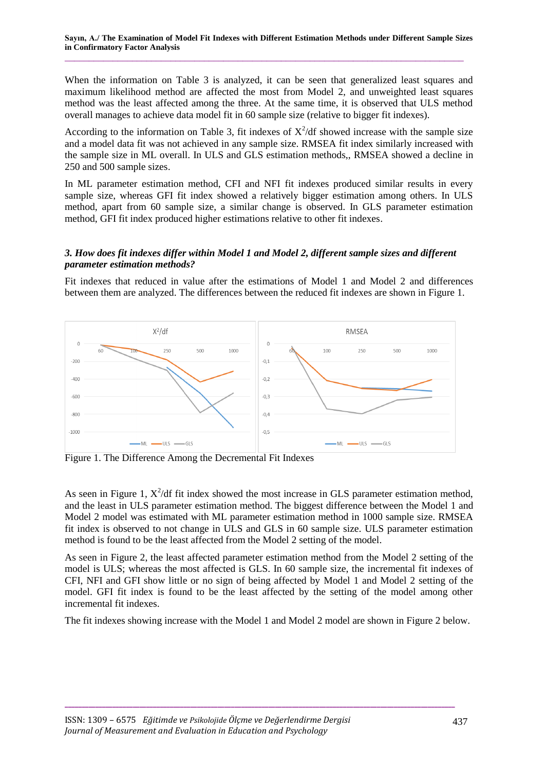When the information on Table 3 is analyzed, it can be seen that generalized least squares and maximum likelihood method are affected the most from Model 2, and unweighted least squares method was the least affected among the three. At the same time, it is observed that ULS method overall manages to achieve data model fit in 60 sample size (relative to bigger fit indexes).

According to the information on Table 3, fit indexes of  $X^2/df$  showed increase with the sample size and a model data fit was not achieved in any sample size. RMSEA fit index similarly increased with the sample size in ML overall. In ULS and GLS estimation methods,, RMSEA showed a decline in 250 and 500 sample sizes.

In ML parameter estimation method, CFI and NFI fit indexes produced similar results in every sample size, whereas GFI fit index showed a relatively bigger estimation among others. In ULS method, apart from 60 sample size, a similar change is observed. In GLS parameter estimation method, GFI fit index produced higher estimations relative to other fit indexes.

## *3. How does fit indexes differ within Model 1 and Model 2, different sample sizes and different parameter estimation methods?*

Fit indexes that reduced in value after the estimations of Model 1 and Model 2 and differences between them are analyzed. The differences between the reduced fit indexes are shown in Figure 1.



Figure 1. The Difference Among the Decremental Fit Indexes

As seen in Figure 1,  $X^2/df$  fit index showed the most increase in GLS parameter estimation method, and the least in ULS parameter estimation method. The biggest difference between the Model 1 and Model 2 model was estimated with ML parameter estimation method in 1000 sample size. RMSEA fit index is observed to not change in ULS and GLS in 60 sample size. ULS parameter estimation method is found to be the least affected from the Model 2 setting of the model.

As seen in Figure 2, the least affected parameter estimation method from the Model 2 setting of the model is ULS; whereas the most affected is GLS. In 60 sample size, the incremental fit indexes of CFI, NFI and GFI show little or no sign of being affected by Model 1 and Model 2 setting of the model. GFI fit index is found to be the least affected by the setting of the model among other incremental fit indexes.

The fit indexes showing increase with the Model 1 and Model 2 model are shown in Figure 2 below.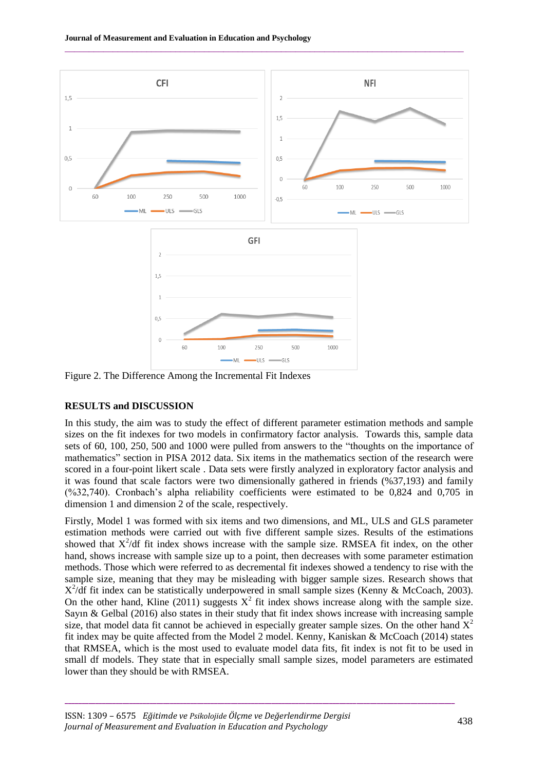

 $\_$  ,  $\_$  ,  $\_$  ,  $\_$  ,  $\_$  ,  $\_$  ,  $\_$  ,  $\_$  ,  $\_$  ,  $\_$  ,  $\_$  ,  $\_$  ,  $\_$  ,  $\_$  ,  $\_$  ,  $\_$  ,  $\_$  ,  $\_$  ,  $\_$  ,  $\_$  ,  $\_$  ,  $\_$  ,  $\_$  ,  $\_$  ,  $\_$  ,  $\_$  ,  $\_$  ,  $\_$  ,  $\_$  ,  $\_$  ,  $\_$  ,  $\_$  ,  $\_$  ,  $\_$  ,  $\_$  ,  $\_$  ,  $\_$  ,

Figure 2. The Difference Among the Incremental Fit Indexes

# **RESULTS and DISCUSSION**

In this study, the aim was to study the effect of different parameter estimation methods and sample sizes on the fit indexes for two models in confirmatory factor analysis. Towards this, sample data sets of 60, 100, 250, 500 and 1000 were pulled from answers to the "thoughts on the importance of mathematics" section in PISA 2012 data. Six items in the mathematics section of the research were scored in a four-point likert scale . Data sets were firstly analyzed in exploratory factor analysis and it was found that scale factors were two dimensionally gathered in friends (%37,193) and family  $(\frac{632,740}{62,740})$ . Cronbach's alpha reliability coefficients were estimated to be 0,824 and 0,705 in dimension 1 and dimension 2 of the scale, respectively.

Firstly, Model 1 was formed with six items and two dimensions, and ML, ULS and GLS parameter estimation methods were carried out with five different sample sizes. Results of the estimations showed that  $X^2/df$  fit index shows increase with the sample size. RMSEA fit index, on the other hand, shows increase with sample size up to a point, then decreases with some parameter estimation methods. Those which were referred to as decremental fit indexes showed a tendency to rise with the sample size, meaning that they may be misleading with bigger sample sizes. Research shows that  $X^2/df$  fit index can be statistically underpowered in small sample sizes (Kenny & McCoach, 2003). On the other hand, Kline (2011) suggests  $X^2$  fit index shows increase along with the sample size. Sayın & Gelbal (2016) also states in their study that fit index shows increase with increasing sample size, that model data fit cannot be achieved in especially greater sample sizes. On the other hand  $X^2$ fit index may be quite affected from the Model 2 model. Kenny, Kaniskan & McCoach (2014) states that RMSEA, which is the most used to evaluate model data fits, fit index is not fit to be used in small df models. They state that in especially small sample sizes, model parameters are estimated lower than they should be with RMSEA.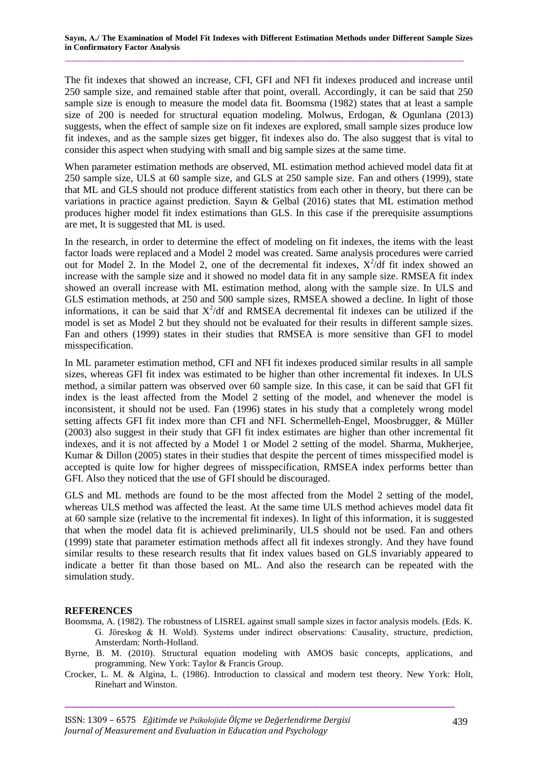The fit indexes that showed an increase, CFI, GFI and NFI fit indexes produced and increase until 250 sample size, and remained stable after that point, overall. Accordingly, it can be said that 250 sample size is enough to measure the model data fit. Boomsma (1982) states that at least a sample size of 200 is needed for structural equation modeling. Molwus, Erdogan, & Ogunlana (2013) suggests, when the effect of sample size on fit indexes are explored, small sample sizes produce low fit indexes, and as the sample sizes get bigger, fit indexes also do. The also suggest that is vital to consider this aspect when studying with small and big sample sizes at the same time.

When parameter estimation methods are observed, ML estimation method achieved model data fit at 250 sample size, ULS at 60 sample size, and GLS at 250 sample size. Fan and others (1999), state that ML and GLS should not produce different statistics from each other in theory, but there can be variations in practice against prediction. Sayın & Gelbal (2016) states that ML estimation method produces higher model fit index estimations than GLS. In this case if the prerequisite assumptions are met, It is suggested that ML is used.

In the research, in order to determine the effect of modeling on fit indexes, the items with the least factor loads were replaced and a Model 2 model was created. Same analysis procedures were carried out for Model 2. In the Model 2, one of the decremental fit indexes,  $X^2/df$  fit index showed an increase with the sample size and it showed no model data fit in any sample size. RMSEA fit index showed an overall increase with ML estimation method, along with the sample size. In ULS and GLS estimation methods, at 250 and 500 sample sizes, RMSEA showed a decline. In light of those informations, it can be said that  $X^2/df$  and RMSEA decremental fit indexes can be utilized if the model is set as Model 2 but they should not be evaluated for their results in different sample sizes. Fan and others (1999) states in their studies that RMSEA is more sensitive than GFI to model misspecification.

In ML parameter estimation method, CFI and NFI fit indexes produced similar results in all sample sizes, whereas GFI fit index was estimated to be higher than other incremental fit indexes. In ULS method, a similar pattern was observed over 60 sample size. In this case, it can be said that GFI fit index is the least affected from the Model 2 setting of the model, and whenever the model is inconsistent, it should not be used. Fan (1996) states in his study that a completely wrong model setting affects GFI fit index more than CFI and NFI. Schermelleh-Engel, Moosbrugger, & Müller (2003) also suggest in their study that GFI fit index estimates are higher than other incremental fit indexes, and it is not affected by a Model 1 or Model 2 setting of the model. Sharma, Mukherjee, Kumar & Dillon (2005) states in their studies that despite the percent of times misspecified model is accepted is quite low for higher degrees of misspecification, RMSEA index performs better than GFI. Also they noticed that the use of GFI should be discouraged.

GLS and ML methods are found to be the most affected from the Model 2 setting of the model, whereas ULS method was affected the least. At the same time ULS method achieves model data fit at 60 sample size (relative to the incremental fit indexes). In light of this information, it is suggested that when the model data fit is achieved preliminarily, ULS should not be used. Fan and others (1999) state that parameter estimation methods affect all fit indexes strongly. And they have found similar results to these research results that fit index values based on GLS invariably appeared to indicate a better fit than those based on ML. And also the research can be repeated with the simulation study.

#### **REFERENCES**

- Boomsma, A. (1982). The robustness of LISREL against small sample sizes in factor analysis models. (Eds. K. G. Jöreskog & H. Wold). Systems under indirect observations: Causality, structure, prediction, Amsterdam: North-Holland.
- Byrne, B. M. (2010). Structural equation modeling with AMOS basic concepts, applications, and programming. New York: Taylor & Francis Group.
- Crocker, L. M. & Algina, L. (1986). Introduction to classical and modern test theory. New York: Holt, Rinehart and Winston.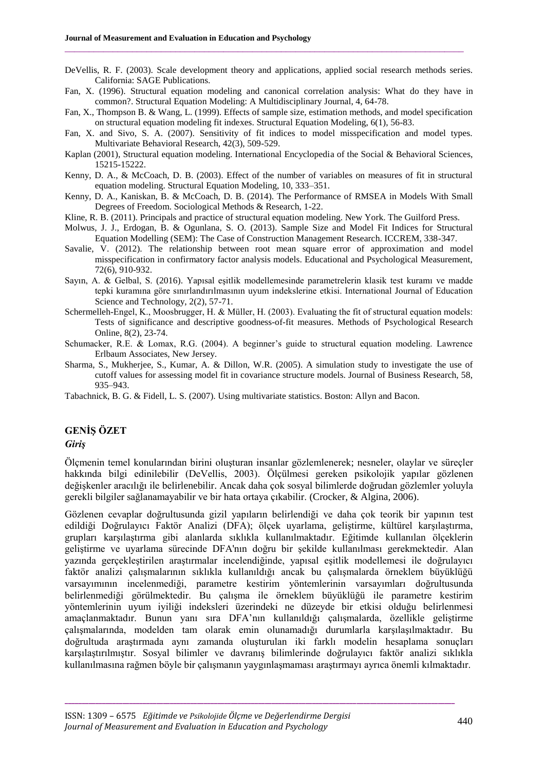DeVellis, R. F. (2003). Scale development theory and applications, applied social research methods series. California: SAGE Publications.

 $\_$  ,  $\_$  ,  $\_$  ,  $\_$  ,  $\_$  ,  $\_$  ,  $\_$  ,  $\_$  ,  $\_$  ,  $\_$  ,  $\_$  ,  $\_$  ,  $\_$  ,  $\_$  ,  $\_$  ,  $\_$  ,  $\_$  ,  $\_$  ,  $\_$  ,  $\_$ 

- Fan, X. (1996). Structural equation modeling and canonical correlation analysis: What do they have in common?. Structural Equation Modeling: A Multidisciplinary Journal, 4, 64-78.
- Fan, X., Thompson B. & Wang, L. (1999). Effects of sample size, estimation methods, and model specification on structural equation modeling fit indexes. Structural Equation Modeling, 6(1), 56-83.
- Fan, X. and Sivo, S. A. (2007). Sensitivity of fit indices to model misspecification and model types. Multivariate Behavioral Research, 42(3), 509-529.
- Kaplan (2001), Structural equation modeling. International Encyclopedia of the Social & Behavioral Sciences, 15215-15222.
- Kenny, D. A., & McCoach, D. B. (2003). Effect of the number of variables on measures of fit in structural equation modeling. Structural Equation Modeling, 10, 333–351.
- Kenny, D. A., Kaniskan, B. & McCoach, D. B. (2014). The Performance of RMSEA in Models With Small Degrees of Freedom. Sociological Methods & Research, 1-22.
- Kline, R. B. (2011). Principals and practice of structural equation modeling. New York. The Guilford Press.
- Molwus, J. J., Erdogan, B. & Ogunlana, S. O. (2013). Sample Size and Model Fit Indices for Structural Equation Modelling (SEM): The Case of Construction Management Research. ICCREM, 338-347.
- Savalie, V. (2012). The relationship between root mean square error of approximation and model misspecification in confirmatory factor analysis models. Educational and Psychological Measurement, 72(6), 910-932.
- Sayın, A. & Gelbal, S. (2016). Yapısal eşitlik modellemesinde parametrelerin klasik test kuramı ve madde tepki kuramına göre sınırlandırılmasının uyum indekslerine etkisi. International Journal of Education Science and Technology, 2(2), 57-71.
- Schermelleh-Engel, K., Moosbrugger, H. & Müller, H. (2003). Evaluating the fit of structural equation models: Tests of significance and descriptive goodness-of-fit measures. Methods of Psychological Research Online, 8(2), 23-74.
- Schumacker, R.E. & Lomax, R.G. (2004). A beginner's guide to structural equation modeling. Lawrence Erlbaum Associates, New Jersey.
- Sharma, S., Mukherjee, S., Kumar, A. & Dillon, W.R. (2005). A simulation study to investigate the use of cutoff values for assessing model fit in covariance structure models. Journal of Business Research, 58, 935–943.
- Tabachnick, B. G. & Fidell, L. S. (2007). Using multivariate statistics. Boston: Allyn and Bacon.

# **GENİŞ ÖZET**

#### *Giriş*

Ölçmenin temel konularından birini oluşturan insanlar gözlemlenerek; nesneler, olaylar ve süreçler hakkında bilgi edinilebilir (DeVellis, 2003). Ölçülmesi gereken psikolojik yapılar gözlenen değişkenler aracılığı ile belirlenebilir. Ancak daha çok sosyal bilimlerde doğrudan gözlemler yoluyla gerekli bilgiler sağlanamayabilir ve bir hata ortaya çıkabilir. (Crocker, & Algina, 2006).

Gözlenen cevaplar doğrultusunda gizil yapıların belirlendiği ve daha çok teorik bir yapının test edildiği Doğrulayıcı Faktör Analizi (DFA); ölçek uyarlama, geliştirme, kültürel karşılaştırma, grupları karşılaştırma gibi alanlarda sıklıkla kullanılmaktadır. Eğitimde kullanılan ölçeklerin geliştirme ve uyarlama sürecinde DFA'nın doğru bir şekilde kullanılması gerekmektedir. Alan yazında gerçekleştirilen araştırmalar incelendiğinde, yapısal eşitlik modellemesi ile doğrulayıcı faktör analizi çalışmalarının sıklıkla kullanıldığı ancak bu çalışmalarda örneklem büyüklüğü varsayımının incelenmediği, parametre kestirim yöntemlerinin varsayımları doğrultusunda belirlenmediği görülmektedir. Bu çalışma ile örneklem büyüklüğü ile parametre kestirim yöntemlerinin uyum iyiliği indeksleri üzerindeki ne düzeyde bir etkisi olduğu belirlenmesi amaçlanmaktadır. Bunun yanı sıra DFA'nın kullanıldığı çalışmalarda, özellikle geliştirme çalışmalarında, modelden tam olarak emin olunamadığı durumlarla karşılaşılmaktadır. Bu doğrultuda araştırmada aynı zamanda oluşturulan iki farklı modelin hesaplama sonuçları karşılaştırılmıştır. Sosyal bilimler ve davranış bilimlerinde doğrulayıcı faktör analizi sıklıkla kullanılmasına rağmen böyle bir çalışmanın yaygınlaşmaması araştırmayı ayrıca önemli kılmaktadır.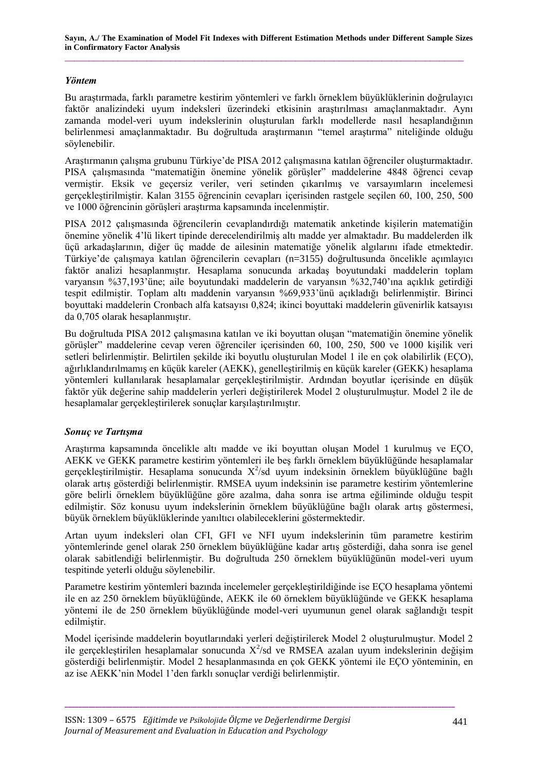# *Yöntem*

Bu araştırmada, farklı parametre kestirim yöntemleri ve farklı örneklem büyüklüklerinin doğrulayıcı faktör analizindeki uyum indeksleri üzerindeki etkisinin araştırılması amaçlanmaktadır. Aynı zamanda model-veri uyum indekslerinin oluşturulan farklı modellerde nasıl hesaplandığının belirlenmesi amaçlanmaktadır. Bu doğrultuda araştırmanın "temel araştırma" niteliğinde olduğu söylenebilir.

Araştırmanın çalışma grubunu Türkiye'de PISA 2012 çalışmasına katılan öğrenciler oluşturmaktadır. PISA çalışmasında "matematiğin önemine yönelik görüşler" maddelerine 4848 öğrenci cevap vermiştir. Eksik ve geçersiz veriler, veri setinden çıkarılmış ve varsayımların incelemesi gerçekleştirilmiştir. Kalan 3155 öğrencinin cevapları içerisinden rastgele seçilen 60, 100, 250, 500 ve 1000 öğrencinin görüşleri araştırma kapsamında incelenmiştir.

PISA 2012 çalışmasında öğrencilerin cevaplandırdığı matematik anketinde kişilerin matematiğin önemine yönelik 4'lü likert tipinde derecelendirilmiş altı madde yer almaktadır. Bu maddelerden ilk üçü arkadaşlarının, diğer üç madde de ailesinin matematiğe yönelik algılarını ifade etmektedir. Türkiye'de çalışmaya katılan öğrencilerin cevapları (n=3155) doğrultusunda öncelikle açımlayıcı faktör analizi hesaplanmıştır. Hesaplama sonucunda arkadaş boyutundaki maddelerin toplam varyansın %37,193'üne; aile boyutundaki maddelerin de varyansın %32,740'ına açıklık getirdiği tespit edilmiştir. Toplam altı maddenin varyansın %69,933'ünü açıkladığı belirlenmiştir. Birinci boyuttaki maddelerin Cronbach alfa katsayısı 0,824; ikinci boyuttaki maddelerin güvenirlik katsayısı da 0,705 olarak hesaplanmıştır.

Bu doğrultuda PISA 2012 çalışmasına katılan ve iki boyuttan oluşan "matematiğin önemine yönelik görüşler" maddelerine cevap veren öğrenciler içerisinden 60, 100, 250, 500 ve 1000 kişilik veri setleri belirlenmiştir. Belirtilen şekilde iki boyutlu oluşturulan Model 1 ile en çok olabilirlik (EÇO), ağırlıklandırılmamış en küçük kareler (AEKK), genelleştirilmiş en küçük kareler (GEKK) hesaplama yöntemleri kullanılarak hesaplamalar gerçekleştirilmiştir. Ardından boyutlar içerisinde en düşük faktör yük değerine sahip maddelerin yerleri değiştirilerek Model 2 oluşturulmuştur. Model 2 ile de hesaplamalar gerçekleştirilerek sonuçlar karşılaştırılmıştır.

# *Sonuç ve Tartışma*

Araştırma kapsamında öncelikle altı madde ve iki boyuttan oluşan Model 1 kurulmuş ve EÇO, AEKK ve GEKK parametre kestirim yöntemleri ile beş farklı örneklem büyüklüğünde hesaplamalar gerçekleştirilmiştir. Hesaplama sonucunda  $X^2$ /sd uyum indeksinin örneklem büyüklüğüne bağlı olarak artış gösterdiği belirlenmiştir. RMSEA uyum indeksinin ise parametre kestirim yöntemlerine göre belirli örneklem büyüklüğüne göre azalma, daha sonra ise artma eğiliminde olduğu tespit edilmiştir. Söz konusu uyum indekslerinin örneklem büyüklüğüne bağlı olarak artış göstermesi, büyük örneklem büyüklüklerinde yanıltıcı olabileceklerini göstermektedir.

Artan uyum indeksleri olan CFI, GFI ve NFI uyum indekslerinin tüm parametre kestirim yöntemlerinde genel olarak 250 örneklem büyüklüğüne kadar artış gösterdiği, daha sonra ise genel olarak sabitlendiği belirlenmiştir. Bu doğrultuda 250 örneklem büyüklüğünün model-veri uyum tespitinde yeterli olduğu söylenebilir.

Parametre kestirim yöntemleri bazında incelemeler gerçekleştirildiğinde ise EÇO hesaplama yöntemi ile en az 250 örneklem büyüklüğünde, AEKK ile 60 örneklem büyüklüğünde ve GEKK hesaplama yöntemi ile de 250 örneklem büyüklüğünde model-veri uyumunun genel olarak sağlandığı tespit edilmiştir.

Model içerisinde maddelerin boyutlarındaki yerleri değiştirilerek Model 2 oluşturulmuştur. Model 2 ile gerçekleştirilen hesaplamalar sonucunda  $X^2$ /sd ve RMSEA azalan uyum indekslerinin değişim gösterdiği belirlenmiştir. Model 2 hesaplanmasında en çok GEKK yöntemi ile EÇO yönteminin, en az ise AEKK'nin Model 1'den farklı sonuçlar verdiği belirlenmiştir.